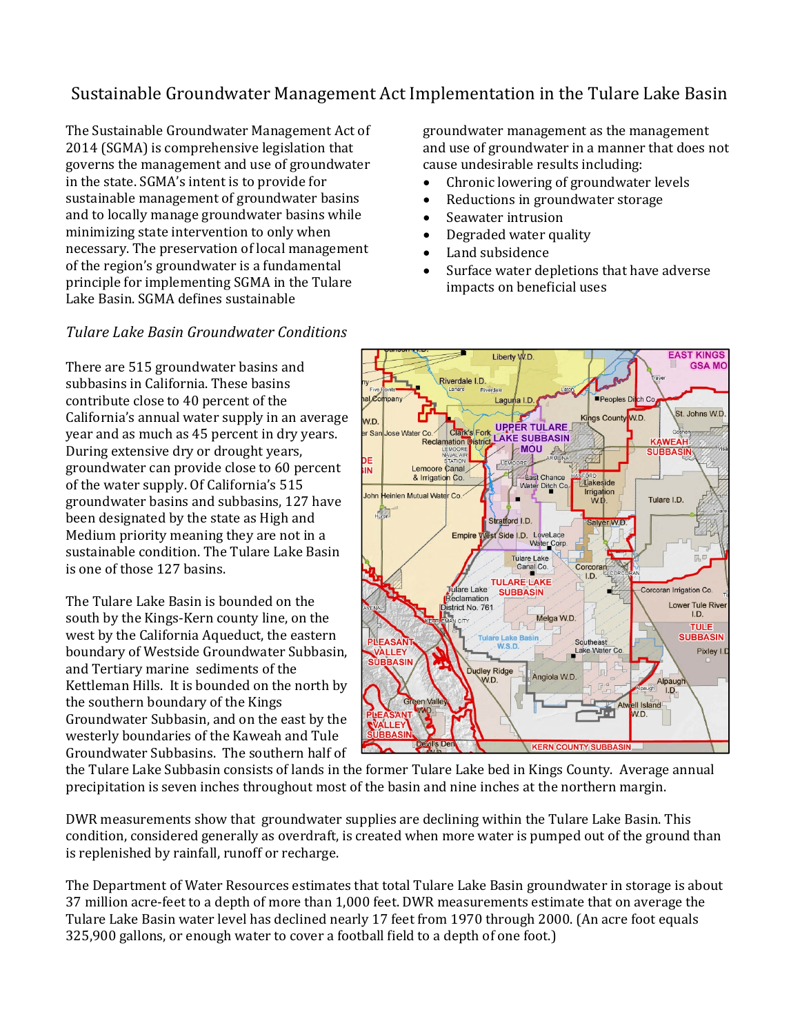# Sustainable Groundwater Management Act Implementation in the Tulare Lake Basin

The Sustainable Groundwater Management Act of 2014 (SGMA) is comprehensive legislation that governs the management and use of groundwater in the state. SGMA's intent is to provide for sustainable management of groundwater basins and to locally manage groundwater basins while minimizing state intervention to only when necessary. The preservation of local management of the region's groundwater is a fundamental principle for implementing SGMA in the Tulare Lake Basin. SGMA defines sustainable

### *Tulare Lake Basin Groundwater Conditions*

There are 515 groundwater basins and subbasins in California. These basins contribute close to 40 percent of the California's annual water supply in an average year and as much as 45 percent in dry years. During extensive dry or drought years, groundwater can provide close to 60 percent of the water supply. Of California's 515 groundwater basins and subbasins, 127 have been designated by the state as High and Medium priority meaning they are not in a sustainable condition. The Tulare Lake Basin is one of those 127 basins.

The Tulare Lake Basin is bounded on the south by the Kings-Kern county line, on the west by the California Aqueduct, the eastern boundary of Westside Groundwater Subbasin, and Tertiary marine sediments of the Kettleman Hills. It is bounded on the north by the southern boundary of the Kings Groundwater Subbasin, and on the east by the westerly boundaries of the Kaweah and Tule Groundwater Subbasins. The southern half of

groundwater management as the management and use of groundwater in a manner that does not cause undesirable results including:

- Chronic lowering of groundwater levels
- Reductions in groundwater storage
- Seawater intrusion
- Degraded water quality
- Land subsidence
- Surface water depletions that have adverse impacts on beneficial uses



the Tulare Lake Subbasin consists of lands in the former Tulare Lake bed in Kings County. Average annual precipitation is seven inches throughout most of the basin and nine inches at the northern margin.

DWR measurements show that groundwater supplies are declining within the Tulare Lake Basin. This condition, considered generally as overdraft, is created when more water is pumped out of the ground than is replenished by rainfall, runoff or recharge.

The Department of Water Resources estimates that total Tulare Lake Basin groundwater in storage is about 37 million acre-feet to a depth of more than 1,000 feet. DWR measurements estimate that on average the Tulare Lake Basin water level has declined nearly 17 feet from 1970 through 2000. (An acre foot equals 325,900 gallons, or enough water to cover a football field to a depth of one foot.)